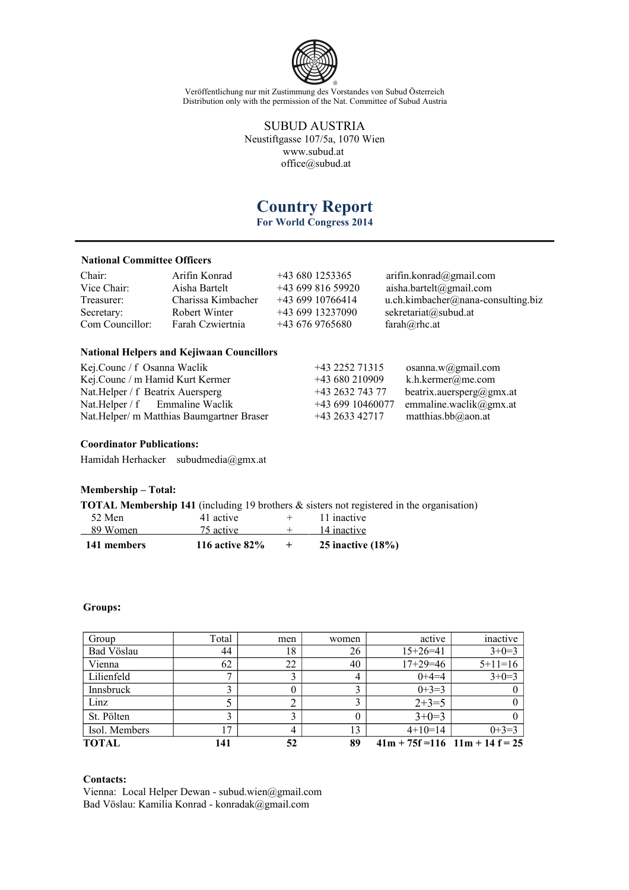

> SUBUD AUSTRIA Neustiftgasse 107/5a, 1070 Wien [www.subud.at](http://www.subud.at/) [office@subud.at](mailto:office@subud.at)

# **Country Report**

**For World Congress 2014**

# **National Committee Officers**

| Chair:          | Arifin Konrad      | $+436801253365$  | arifin.konrad(2)gmail.com          |
|-----------------|--------------------|------------------|------------------------------------|
| Vice Chair:     | Aisha Bartelt      | $+4369981659920$ | aisha.bartelt@gmail.com            |
| Treasurer:      | Charissa Kimbacher | +43 699 10766414 | u.ch.kimbacher@nana-consulting.biz |
| Secretary:      | Robert Winter      | $+4369913237090$ | sekretariat@subud.at               |
| Com Councillor: | Farah Czwiertnia   | $+436769765680$  | $farah@rho$ .at                    |

## **National Helpers and Kejiwaan Councillors**

| Kej.Counc / f Osanna Waclik                | +43 2252 71315                      | osanna.w@gmail.com       |
|--------------------------------------------|-------------------------------------|--------------------------|
| Kej.Counc / m Hamid Kurt Kermer            | $+43680210909$<br>k.h.kermer@me.com |                          |
| Nat.Helper / f Beatrix Auersperg           | +43 2632 743 77                     | beatrix.auersperg@gmx.at |
| Nat. Helper $/f$ Emmaline Waclik           | $+4369910460077$                    | emmaline.waclik@gmx.at   |
| Nat. Helper/ m Matthias Baumgartner Braser | +43 2633 42717                      | matthias.bb $@$ aon.at   |

#### **Coordinator Publications:**

Hamidah Herhacker [subudmedia@gmx.at](mailto:subudmedia@gmx.at)

# **Membership – Total:**

| <b>TOTAL Membership 141</b> (including 19 brothers $\&$ sisters not registered in the organisation) |  |  |  |  |  |  |  |
|-----------------------------------------------------------------------------------------------------|--|--|--|--|--|--|--|
|-----------------------------------------------------------------------------------------------------|--|--|--|--|--|--|--|

| 141 members | 116 active $82\%$ | 25 inactive $(18\%)$ |
|-------------|-------------------|----------------------|
| 89 Women    | 75 active         | 14 inactive          |
| 52 Men      | 41 active         | 11 inactive          |

## **Groups:**

| Group         | Total | men | women | active                             | inactive  |
|---------------|-------|-----|-------|------------------------------------|-----------|
| Bad Vöslau    | 44    | 18  | 26    | $15+26=41$                         | $3+0=3$   |
| Vienna        | 62    | 22  | 40    | $17+29=46$                         | $5+11=16$ |
| Lilienfeld    |       |     | 4     | $0+4=4$                            | $3+0=3$   |
| Innsbruck     |       |     |       | $0+3=3$                            |           |
| Linz          |       |     |       | $2+3=5$                            |           |
| St. Pölten    |       |     |       | $3+0=3$                            |           |
| Isol. Members | 17    | 4   | 13    | $4+10=14$                          | $0+3=3$   |
| <b>TOTAL</b>  | 141   | 52  | 89    | $41m + 75f = 116$ $11m + 14f = 25$ |           |

## **Contacts:**

Vienna: Local Helper Dewan - [subud.wien@gmail.com](mailto:subud.wien@gmail.com) Bad Vöslau: Kamilia Konrad - [konradak@gmail.com](mailto:konradak@gmail.com)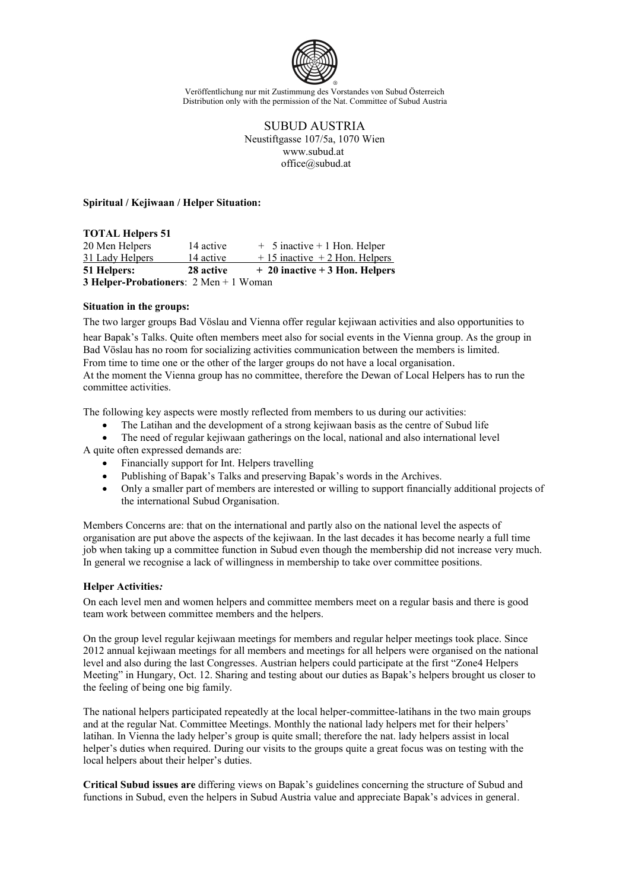

> SUBUD AUSTRIA Neustiftgasse 107/5a, 1070 Wien [www.subud.at](http://www.subud.at/) [office@subud.at](mailto:office@subud.at)

#### **Spiritual / Kejiwaan / Helper Situation:**

#### **TOTAL Helpers 51**

| <b>3 Helper-Probationers</b> : $2 \text{ Men} + 1 \text{ Woman}$ |           |                                  |
|------------------------------------------------------------------|-----------|----------------------------------|
| <b>51 Helpers:</b>                                               | 28 active | $+20$ inactive $+3$ Hon. Helpers |
| 31 Lady Helpers                                                  | 14 active | $+15$ inactive $+2$ Hon. Helpers |
| 20 Men Helpers                                                   | 14 active | $+$ 5 inactive $+$ 1 Hon. Helper |

#### **Situation in the groups:**

The two larger groups Bad Vöslau and Vienna offer regular kejiwaan activities and also opportunities to

hear Bapak's Talks. Quite often members meet also for social events in the Vienna group. As the group in Bad Vöslau has no room for socializing activities communication between the members is limited. From time to time one or the other of the larger groups do not have a local organisation.

At the moment the Vienna group has no committee, therefore the Dewan of Local Helpers has to run the committee activities.

The following key aspects were mostly reflected from members to us during our activities:

- The Latihan and the development of a strong kejiwaan basis as the centre of Subud life
- The need of regular kejiwaan gatherings on the local, national and also international level

A quite often expressed demands are:

- Financially support for Int. Helpers travelling
- Publishing of Bapak's Talks and preserving Bapak's words in the Archives.
- Only a smaller part of members are interested or willing to support financially additional projects of the international Subud Organisation.

Members Concerns are: that on the international and partly also on the national level the aspects of organisation are put above the aspects of the kejiwaan. In the last decades it has become nearly a full time job when taking up a committee function in Subud even though the membership did not increase very much. In general we recognise a lack of willingness in membership to take over committee positions.

## **Helper Activities***:*

On each level men and women helpers and committee members meet on a regular basis and there is good team work between committee members and the helpers.

On the group level regular kejiwaan meetings for members and regular helper meetings took place. Since 2012 annual kejiwaan meetings for all members and meetings for all helpers were organised on the national level and also during the last Congresses. Austrian helpers could participate at the first "Zone4 Helpers Meeting" in Hungary, Oct. 12. Sharing and testing about our duties as Bapak's helpers brought us closer to the feeling of being one big family.

The national helpers participated repeatedly at the local helper-committee-latihans in the two main groups and at the regular Nat. Committee Meetings. Monthly the national lady helpers met for their helpers' latihan. In Vienna the lady helper's group is quite small; therefore the nat. lady helpers assist in local helper's duties when required. During our visits to the groups quite a great focus was on testing with the local helpers about their helper's duties.

**Critical Subud issues are** differing views on Bapak's guidelines concerning the structure of Subud and functions in Subud, even the helpers in Subud Austria value and appreciate Bapak's advices in general.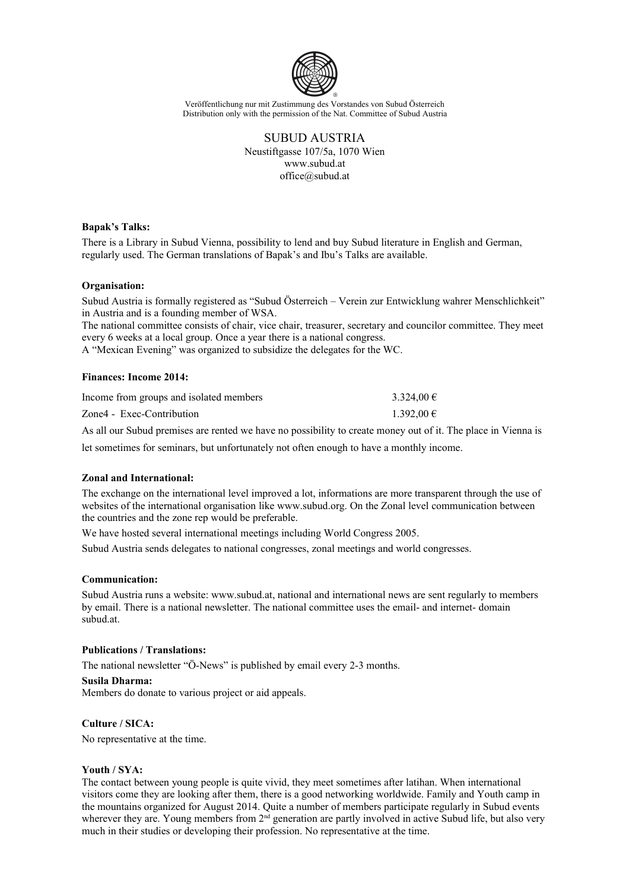

> SUBUD AUSTRIA Neustiftgasse 107/5a, 1070 Wien [www.subud.at](http://www.subud.at/) [office@subud.at](mailto:office@subud.at)

## **Bapak's Talks:**

There is a Library in Subud Vienna, possibility to lend and buy Subud literature in English and German, regularly used. The German translations of Bapak's and Ibu's Talks are available.

## **Organisation:**

Subud Austria is formally registered as "Subud Österreich – Verein zur Entwicklung wahrer Menschlichkeit" in Austria and is a founding member of WSA.

The national committee consists of chair, vice chair, treasurer, secretary and councilor committee. They meet every 6 weeks at a local group. Once a year there is a national congress.

A "Mexican Evening" was organized to subsidize the delegates for the WC.

#### **Finances: Income 2014:**

| Income from groups and isolated members | $3.324.00 \in$ |
|-----------------------------------------|----------------|
| Zone4 - Exec-Contribution               | $1.392,00 \in$ |

As all our Subud premises are rented we have no possibility to create money out of it. The place in Vienna is

let sometimes for seminars, but unfortunately not often enough to have a monthly income.

## **Zonal and International:**

The exchange on the international level improved a lot, informations are more transparent through the use of websites of the international organisation like www.subud.org. On the Zonal level communication between the countries and the zone rep would be preferable.

We have hosted several international meetings including World Congress 2005.

Subud Austria sends delegates to national congresses, zonal meetings and world congresses.

## **Communication:**

Subud Austria runs a website: [www.subud.at,](http://www.subud.at/) national and international news are sent regularly to members by email. There is a national newsletter. The national committee uses the email- and internet- domain subud.at.

## **Publications / Translations:**

The national newsletter "Ö-News" is published by email every 2-3 months.

#### **Susila Dharma:**

Members do donate to various project or aid appeals.

# **Culture / SICA:**

No representative at the time.

## **Youth / SYA:**

The contact between young people is quite vivid, they meet sometimes after latihan. When international visitors come they are looking after them, there is a good networking worldwide. Family and Youth camp in the mountains organized for August 2014. Quite a number of members participate regularly in Subud events wherever they are. Young members from 2<sup>nd</sup> generation are partly involved in active Subud life, but also very much in their studies or developing their profession. No representative at the time.